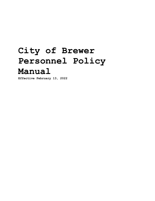# **City of Brewer Personnel Policy Manual**

**Effective February 13, 2022**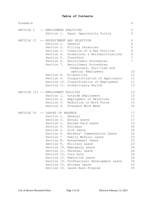| Preamble   |  |                                    |                                            | 4               |
|------------|--|------------------------------------|--------------------------------------------|-----------------|
| ARTICLE I  |  | -- EMPLOYMENT PRACTICES            |                                            | $\overline{5}$  |
|            |  |                                    | Section 1. Equal Opportunity Policy        | 5               |
| ARTICLE II |  |                                    | -- RECRUITMENT AND SELECTION               | 6               |
|            |  | Section 1.                         | General                                    | $6\,$           |
|            |  |                                    | Section 2. Filling Vacancies               | 6               |
|            |  |                                    | Section 3. Creation of a New Position      | $6\phantom{.}6$ |
|            |  |                                    | Section 4. Promotions & Reclassifications  | $\epsilon$      |
|            |  | Section 5. Transfers               |                                            | $\overline{7}$  |
|            |  |                                    | Section 6. Recruitment Procedures          | $\overline{7}$  |
|            |  |                                    | Section 7. Recruitment Procedures          |                 |
|            |  |                                    | (Temporary, Part-time and                  |                 |
|            |  |                                    | special employees)                         | 10              |
|            |  |                                    | Section 8. Eligibility                     | 11              |
|            |  |                                    | Section 9. Disqualification of Applicants  | 11              |
|            |  |                                    | Section 10. Classification of Employment   | 11              |
|            |  |                                    | Section 11. Probationary Period            | 13              |
|            |  | ARTICLE III -- EMPLOYMENT POLICIES |                                            | 15              |
|            |  |                                    | Section 1. Outside Employment              | 15              |
|            |  |                                    | Section 2. Employment of Relatives         | 15              |
|            |  |                                    | Section 3. Reduction in Work Force         | 15              |
|            |  |                                    | Section 4. Standard Work Week              | 16              |
| ARTICLE IV |  | -- LEAVES OF ABSENCE               |                                            | 17              |
|            |  | Section 1.                         | General                                    | 17              |
|            |  |                                    | Section 2. Annual Leave                    | 17              |
|            |  |                                    | Section 3. Earned Paid Leave               | 19              |
|            |  | Section 4. Holidays                |                                            | 20              |
|            |  |                                    | Section 5. Sick Leave                      | 20              |
|            |  |                                    | Section 6. Workers' Compensation Leave     | 22              |
|            |  | Section 7                          | Family Medical Leave                       | 23              |
|            |  | Section 8.                         | Bereavement Leave                          | 23              |
|            |  | Section 9.                         | Military Leave                             | 23              |
|            |  |                                    | Section 10. Emergency Leave                | 24              |
|            |  |                                    | Section 11. Personal Leave                 | 24              |
|            |  |                                    | Section 12. Jury Duty                      | 24              |
|            |  |                                    | Section 13. Executive Leave                | 24              |
|            |  |                                    | Section 14. Professional Development Leave | 24              |
|            |  |                                    | Section 15. Witness Leave                  | 25              |
|            |  |                                    | Section 16. Leave Bank Program             | 25              |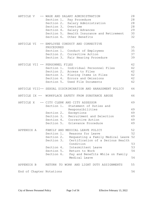|                          | ARTICLE V -- WAGE AND SALARY ADMINISTRATION<br>Section 1. Pay Procedure<br>Section 2. Salary Administration<br>Section 3. Overtime<br>Section 4. Salary Advances<br>Section 5. Health Insurance and Retirement<br>Section 6. Other Benefits                                                                         | 28<br>28<br>28<br>28<br>29<br>30<br>32 |
|--------------------------|---------------------------------------------------------------------------------------------------------------------------------------------------------------------------------------------------------------------------------------------------------------------------------------------------------------------|----------------------------------------|
|                          | ARTICLE VI -- EMPLOYEE CONDUCT AND CORRECTIVE<br>PROCEDURES<br>Section 1. Conduct of Employees<br>Section 2. Corrective Action<br>Section 3. Fair Hearing Procedure                                                                                                                                                 | 35<br>35<br>37<br>39                   |
|                          | ARTICLE VII -- PERSONNEL FILES<br>Section 1. Individual Personnel Files<br>Section 2. Access to Files<br>Section 3. Placing Items in Files<br>Section 4. Errors and Omissions<br>Section 5. Used File Documents                                                                                                     | 42<br>42<br>42<br>42<br>42<br>42       |
|                          | ARTICLE VIII-- SEXUAL DISCRIMINATION AND HARASSMENT POLICY                                                                                                                                                                                                                                                          | 44                                     |
|                          | ARTICLE IX -- WORKPLACE SAFETY FROM SUBSTANCE ABUSE                                                                                                                                                                                                                                                                 | 46                                     |
|                          | ARTICLE X -- CITY CLERK AND CITY ASSESSOR<br>Section 1. Statement of Duties and<br>Responsibilities<br>Section 2. Exceptions<br>Section 3. Recruitment and Selection<br>Section 4. Corrective Action<br>Section 5. Grievance Procedure                                                                              | 49<br>49<br>49<br>49<br>49<br>49       |
| APPENDIX A               | FAMILY AND MEDICAL LEAVE POLICY<br>Section 1.<br>Reasons for Leave<br>Section 2. Requesting a Family Medical Leave 52<br>Section 3. Certification of a Serious Health<br>Condition<br>Intermittent Leave<br>Section 4.<br>Section 5. Return to Work<br>Section 6. Pay and Benefits While on Family<br>Medical Leave | 52<br>52<br>53<br>53<br>54<br>54       |
| APPENDIX B               | RETURN TO WORK AND LIGHT DUTY ASSIGNMENTS                                                                                                                                                                                                                                                                           | 55                                     |
| End of Chapter Notations |                                                                                                                                                                                                                                                                                                                     | 56                                     |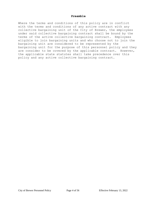#### **Preamble**

Where the terms and conditions of this policy are in conflict with the terms and conditions of any active contract with any collective bargaining unit of the City of Brewer, the employees under said collective bargaining contract shall be bound by the terms of the active collective bargaining contract. Employees eligible to join bargaining units and who choose not to join the bargaining unit are considered to be represented by the bargaining unit for the purpose of this personnel policy and they are consider to be covered by the applicable contract. However, the applicable state statutes shall take precedence over this policy and any active collective bargaining contract.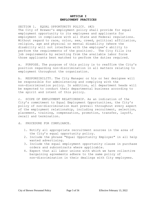## **ARTICLE I EMPLOYMENT PRACTICES**

SECTION 1. EQUAL OPPORTUNITY POLICY. (#2) The City of Brewer's employment policy shall provide for equal employment opportunity to its employees and applicants for employment in compliance with all State and Federal regulations. Without regard to race, color, sex, creed, political affiliation, religion, age and physical or mental disability (where the disability will not interfere with the employee's ability to perform the requirements of the position). The City fills its job requirements by selecting from the available labor force those applicants best matched to perform the duties required.

a. PURPOSE. The purpose of this policy is to reaffirm the City's position regarding non-discrimination in all matters relating to employment throughout the organization.

b. RESPONSIBILITY. The City Manager or his or her designee will be responsible for administering and complying with the non-discrimination policy. In addition, all department heads will be expected to conduct their departmental business according to the spirit and intent of this policy.

c. SCOPE OF EMPLOYMENT RELATIONSHIP. As an indication of the City's commitment to Equal Employment Opportunities, the City's policy of non-discrimination must prevail throughout every aspect of the employment relationship, including recruitment, selection, placement, training, compensation, promotion, transfer, layoff, recall and termination.

- d. PROCEDURE FOR COMPLIANCE.
	- 1. Notify all appropriate recruitment sources in the area of the City's equal opportunity policy.
	- 2. Include the phrase "Equal Opportunity Employer" in all help wanted advertising.
	- 3. Include the equal employment opportunity clause in purchase orders and subcontracts where applicable.
	- 4. Expect that all labor unions with which we have collective bargaining agreements adhere to the same policy of non-discrimination in their dealings with City employees.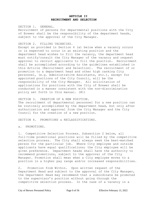## **ARTICLE II RECRUITMENT AND SELECTION**

#### SECTION 1. GENERAL.

Recruitment of persons for departmental positions with the City of Brewer shall be the responsibility of the department heads, subject to the approval of the City Manager.

## SECTION 2. FILLING VACANCIES.

Except as provided in Section 4 (a) below when a vacancy occurs or is expected to occur in an existing position and the department head wishes to fill the vacancy, the department head must notify/consult the City Manager of the vacancy and request approval to recruit applicants to fill the position. Recruitment shall be accomplished according to the guidelines established in this Article (Recruitment and Selection). The recruitment of or promotion to a department head and other high ranking City personnel, (e.g. Administrative Assistants, etc.), except for appointed positions of the City Council, will be the responsibility of the City Manager. All solicitation of applications for positions with the City of Brewer shall be conducted in a manner consistent with the non-discrimination policy set forth in this manual. (#1)

SECTION 3. CREATION OF A NEW POSITION.

The recruitment of departmental personnel for a new position can be routinely accomplished by the department head, but only after authorization and approval from the City Manager and the City Council for the creation of a new position.

SECTION 4. PROMOTIONS & RECLASSIFICATIONS.

a. PROMOTIONS.

1. Competitive Selection Process. Subsection 2 below, all full-time promotional positions will be filled by the competitive selection process. The City shall always seek the best-matched person for the particular job. Where City employee and outside applicants have equal qualifications; the City employee will be given preference. Department heads shall have the authority to recommend promotions, subject to the approval of the City Manager. Promotion shall mean when a City employee moves to a position in a higher pay range and/or increased responsibilities.

2. Promotion from Within. Upon written request of the Department Head and subject to the approval of the City Manager, the Department Head may recommend that a subordinate be promoted to the supervisor's position without going through the competitive selection process. In the case of a vacancy in a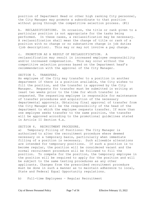position of Department Head or other high ranking City personnel, the City Manager may promote a subordinate to that position without going through the competitive selection process. (#1)

b. RECLASSIFICATIONS. On occasion, the title or rank given to a particular position is not appropriate for the tasks being performed. In these cases, a reclassification may be necessary. A reclassification shall mean the change of title or rank of a position with no change or no substantive change in job duties (job description). This may or may not involve a pay change.

c. PROMOTION AS A RESULT OF RECLASSIFICATION. A reclassification may result in increased employee responsibility and/or increased compensation. This may occur without the competitive selection process based on the Department head's recommendation with the approval of the City Manager.

#### SECTION 5. TRANSFERS.

An employee of the City may transfer to a position in another department if there is a position available, the City wishes to fill the position, and the transfer is approved by the City Manager. Requests for transfer must be submitted in writing at least two weeks prior to the time for which transfer is requested. The requesting employee is responsible for maintenance of transfer procedures and acquisition of the necessary departmental approvals. Obtaining final approval of transfer from the City Manager will be the responsibility of the head of the department to which the employee requests transfer. If more than one employee seeks transfer to the same position, the transfer will be approved according to the promotional guidelines stated in Article II Section 4.a.

## SECTION 6. RECRUITMENT PROCEDURE.

a) Temporary Filling of Positions: The City Manager is authorized to alter the recruitment procedure where deemed necessary on a temporary basis, particularly when immediate filling of a position is necessary. Such allowable alterations are intended for temporary positions. If such a position is to become regular, the position will be considered vacant and the normal recruitment procedure will be followed to fill the position. To compete for the position, the temporary employee in the position will be required to apply for the position and will be subject to the same testing procedures as any other applicants. Changes from the prescribed recruitment procedure must be done in such a manner as to maintain adherence to local, State and Federal Equal Opportunity regulations.

b) Full-time Employees – Regular Recruitment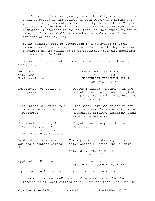a. A Notice of Position Opening, which the City wishes to fill, shall be posted at the offices of each Department hiring the position, one prominent location at City Hall, and the City's website. This posting will allow City employees interested in promotion or transfer to the position, an opportunity to apply. The notification shall be posted for the duration of the application period. (#4)

b. The position will be advertised in a newspaper of local circulation for a period of no less than one (1) day. Ads and inquiries may be published in professional journals, magazines or web sites. (#2)(#4)

Position postings and advertisements shall have the following composition:

| Announcement   | EMPLOYMENT OPPORTUNITY     |
|----------------|----------------------------|
| City Name      | CITY OF BREWER             |
| Position Title | WASTEWATER TREATMENT PIANT |
|                | OPERATOR TRAINEE           |

Description of Duties & Duties include: Assisting in the Responsibilities operation and maintenance of plant equipment and pumping stations plus laboratory work.

Description of Education & High School diploma or equivalent Experience Required & required. Must have mathematical & Preferred mechanical ability. Treatment plant experience preferred.

Statement of Salary & Competitive salary and fringe Benefits (may give benefits. specific salary amount

Application materials For application material, contact: address & contact points City Manager's Office, 80 No. Main St.

 City Hall, Brewer, ME 04412 Tel. 989-7500

Application Deadline **Application** deadline

or range in some cases)

5:00 p.m. September 10, 1999.

Equal Opportunity Statement Equal Opportunity Employer

c. An application deadline should be established for the receipt of all applications to fill the position. Applications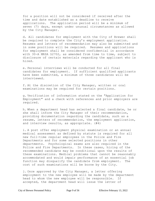for a position will not be considered if received after the time and date established as a deadline to receive applications. The application period will be a minimum of seven (7) days, except under unusual circumstances as allowed by the City Manager.

d. All candidates for employment with the City of Brewer shall be required to complete the City's employment application. Resumes and letters of recommendation may also be submitted and in some positions will be required. Resumes and applications for employment shall be considered confidential in accordance with 30-A MRSA §2702, as amended from time to time, subject to disclosure of certain materials regarding the applicant who is hired.

e. Personal interviews will be conducted for all final candidates for employment. If sufficient qualified applicants have been submitted, a minimum of three candidates will be interviewed.

f. At the discretion of the City Manager, written or oral examinations may be required for certain positions.

g. Verification of information stated on the "Application for Employment" and a check with references and prior employers are required.

h. When a department head has selected a final candidate, he or she shall inform the City Manager of their recommendation, providing documentation regarding the candidate, such as a resume, letters of recommendation, the employment application, and interview results, as appropriate. (#4)

i. A post offer employment physical examination or an annual medical assessment as defined by statute is required for all new full-time regular employees in the Police and Fire Departments and for some selected positions in other departments. Psychological exams are also required in the Police and Fire Departments. In these cases, hiring of the recommended candidate may be conditional upon the results of these examinations. Medical problems that cannot be reasonably accommodated and would impair performance of an essential job function may disqualify the candidate from employment. The cost of such examinations will be borne by the City.

j. Once approved by the City Manager, a letter offering employment to the new employee will be made by the department head to whom the new employee will be responsible. If accepted, the department head will issue the letter of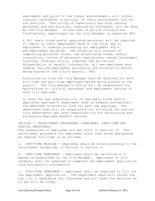employment and prior to the formal announcement, will inform internal candidates in writing, of their unsuccessful bid for the position. The hiring of supervisory and high ranking personnel and any position, required by ordinance, will be done by the City Manager. In the case of police officers and firefighters, appointment by the City Manager is required.(#2)

k. All newly hired and/or appointed personnel will be required to report to their department head on the first day of employment to undergo processing for employment and a pre-employment briefing. The briefing will consist of completing personnel forms, tax withholding forms, safety orientation, review of personnel regulations, sexual harassment training, Internet Policy, Computer Use Police and dissemination of benefit information. All new employees must undergo the pre-employment processing and orientation before being placed on the City's payroll. (#2)

Authorization from the City Manager must be obtained for both full-time and part-time employees before being placed on the payroll. The City Manager's office will be responsible for maintaining all official personnel and employment records of each City employee.

It shall be the responsibility of the newly hired and/or appointed employee's department head to prepare and maintain the EMPLOYEE Orientation form for each new employee. The department head will be responsible for notifying the various city departments who have responsibility for maintaining and processing employee benefit records.

SECTION 7. RECRUITMENT PROCEDURES (TEMPORARY, PART-TIME AND SPECIAL EMPLOYEES). The categories of employees are set forth in Section 10. The recruitment procedure for employees other than those designated as regular full-time is as follows:

a. PART-TIME REGULAR - employees shall be hired according to the recruitment guidelines in Article II Section 6.

b. PART-TIME TEMPORARY - employees shall be recruited in a manner as prescribed by the City Manager. Employees in this category shall be required to complete the employment application form and payroll information.

c. FULL-TIME TEMPORARY - employees shall be required to fill out the employment application. The Department Head will choose the top 3 to 5 candidates for interview and will make the decision as to who will be hired.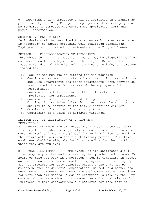d. PART-TIME CALL - employees shall be recruited in a manner as prescribed by the City Manager. Employees in this category shall be required to complete the employment application form and payroll information.

SECTION 8. ELIGIBILITY. Individuals shall be recruited from a geographic area as wide as is necessary to assure obtaining well-qualified candidates. Employment is not limited to residents of the City of Brewer.

SECTION 9. DISOUALIFICATION OF APPLICANTS. Throughout the hiring process applicants may be disqualified from consideration for employment with the City of Brewer. The reasons for disqualification of an applicant include, but are not limited to:

- 1. Lack of minimum qualifications for the position.
- 2. Candidate has been convicted of a crime. (Applies to Police and Fire Departments and other departments where conviction would impair the effectiveness of the employee's job performance.)
- 3. Candidate has falsified or omitted information on an application for employment.
- 4. Candidate has a driving record (for positions requiring driving city vehicles only) which restricts the applicant's ability to be insured by the City's insurance carrier.
- 5. Commission of a crime of moral turpitude.
- 6. Commission of a crime of domestic violence.

SECTION 10. CLASSIFICATION OF EMPLOYMENT. DEFINITIONS:

a. FULL-TIME REGULAR - employees who are designated as fulltime regular and who are regularly scheduled to work 35 hours or more per week and who are employed for an indefinite period into the future after serving their probationary period. Full-time employees shall be eligible for City benefits for the position in which they are employed.

b. FULL-TIME TEMPORARY - employees who are designated a fulltime temporary worker and who are regularly scheduled to work 35 hours or more per week in a position which is temporary in nature and not intended to become regular. Employees in this category are not eligible for City benefits except those that may be mandated, such as Workers' Compensation, Earned Paid Leave, and Unemployment Compensation. Temporary employment may not continue for more than six months unless an exception is made by the City Manager for an extension not to exceed an additional six months. Employees in this category who are employed for more than six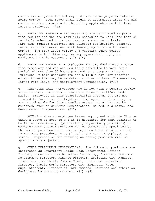months are eligible for holiday and sick leave proportionate to hours worked. Sick leave shall begin to accumulate after the six months service according to the policy applicable to full-time regular employees. (#12)

c. PART-TIME REGULAR - employees who are designated as parttime regular and who are regularly scheduled to work less than 35 regularly scheduled hours per week on a continuing basis. Part-time regular employees are eligible for holiday, personal leave, vacation leave, and sick leave proportionate to hours worked. The sick leave policy and vacation leave policy applicable to full-time regular employees shall apply to employees in this category. (#2) (#4)

d. PART-TIME TEMPORARY - employees who are designated a parttime temporary and who are regularly scheduled to work for a period of less than 35 hours per week on a temporary basis. Employees in this category are not eligible for City benefits except those that may be mandated, such as Workers' Compensation, Earned Paid Leave, and Unemployment Compensation. (#12)

e. PART-TIME CALL – employees who do not work a regular weekly schedule and whose hours of work are on an on-call/as-needed basis. Employees in this classification include but are not limited to Part-time Firefighters. Employees in this category are not eligible for City benefits except those that may be mandated, such as Workers' Compensation, Earned Paid Leave, and Unemployment Compensation. (#12)

f. ACTING - when an employee leaves employment with the City or takes a leave of absence and it is desirable for that position to be filled immediately, (particularly supervisory positions) an employee from another position may be temporarily appointed to the vacant position until the employee on leave returns or the recruitment procedure is completed and a regular employee is hired. Compensation for assuming an acting position will be appropriately adjusted.

g. OTHER EMPLOYMENT DESIGNATIONS. The following positions are designated as Department Heads: Code Enforcement Officer, Planner, Human Services Director, Technology Director, Economic Development Director, Finance Director, Assistant City Manager, Librarian, Fire Chief, Police Chief, Parks and Recreation Director, Public Works Director, City Engineer, Water Superintendent, Director of Environmental Services and others as designated by the City Manager. (#2) (#4)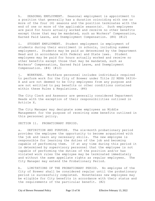h. SEASONAL EMPLOYMENT. Seasonal employment is appointment to a position that generally has a duration coinciding with one or more of the four (4) seasons and the position terminates with the end of one or more of the applicable season(s). Such employees are paid for hours actually worked and receive no other benefits except those that may be mandated, such as Workers' Compensation, Earned Paid Leave, and Unemployment Compensation. (#4) (#12)

i. STUDENT EMPLOYMENT. Student employment is employment of students during their enrollment in schools, including summer employment. Students may be paid as determined by the Department Head and in accordance with Federal and State laws. Student employees may be paid for hours actually worked and receive no other benefits except those that may be mandated, such as Workers' Compensation, Earned Paid Leave, and Unemployment Compensation. (#4) (#12)

j. WORKFARE. Workfare personnel includes individuals required to perform work for the City of Brewer under Title 22 MSRA §4316- A and are not deemed to be City employees from any purpose and are not entitled to pay benefits or other conditions contained within these Rules & Regulations. (#4)

The City Clerk and Assessor are generally considered Department Heads with the exception of their responsibilities outlined in Article X.

The City Manager may designate some employees as Middle Management for the purpose of receiving some benefits outlined in this personnel policy.

SECTION 11. PROBATIONARY PERIOD.

a. DEFINITION AND PURPOSE. The six-month probationary period provides the employee the opportunity to become acquainted with the job and learn any necessary skills. The new employee is responsible for learning the duties of the job and becoming capable of performing them. If at any time during this period it is determined by supervisory personnel that the employee is not capable of performing the duties of the position and/or has violated work rules the employee may be terminated immediately and without the same appellate rights as regular employees. The City Manager may extend the Probationary Period.

b. LIMITATIONS OF THE PROBATIONARY PERIOD. No employee of the City of Brewer shall be considered regular until the probationary period is successfully completed. Nonetheless new employees may be eligible for City benefits in accordance with their status and the requirements of the particular benefit. (#2)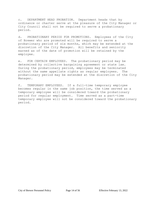c. DEPARTMENT HEAD PROBATION. Department heads that by ordinance or charter serve at the pleasure of the City Manager or City Council shall not be required to serve a probationary period.

d. PROBATIONARY PERIOD FOR PROMOTIONS. Employees of the City of Brewer who are promoted will be required to serve a probationary period of six months, which may be extended at the discretion of the City Manager. All benefits and seniority earned as of the date of promotion will be retained by the employee.

e. FOR CERTAIN EMPLOYEES. The probationary period may be determined by collective bargaining agreement or state law. During the probationary period, employees may be terminated without the same appellate rights as regular employees. The probationary period may be extended at the discretion of the City Manager.

f. TEMPORARY EMPLOYEES. If a full-time temporary employee becomes regular in the same job position, the time served as a temporary employee will be considered toward the probationary period for regular employment. Time served as a part-time temporary employee will not be considered toward the probationary period.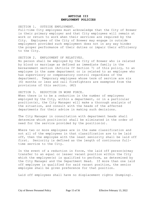## **ARTICLE III EMPLOYMENT POLICIES**

SECTION 1. OUTSIDE EMPLOYMENT. Full-time City employees must acknowledge that the City of Brewer is their primary employer and that City employees will remain at work or return to work when their services are required by the City. Employees of the City of Brewer may engage in outside employment provided such employment does not in any way hinder the proper performance of their duties or impair their efficiency to the City.

#### SECTION 2. EMPLOYMENT OF RELATIVES.

No person shall be employed by the City of Brewer who is related by blood or marriage as defined as immediate family in the bereavement section (Article IV Section 7) of this policy, to an employee in the same department or is related to an employee who has supervisory or compensatory control regardless of the department. Temporary employees whose term of service are six (6) months or less and call firefighters are exempted from the provisions of this section. (#2)

## SECTION 3. REDUCTION IN WORK FORCE.

When there is to be a reduction in the number of employees employed by the City, within a department, or in a particular position(s), the City Manager will make a thorough analysis of the situation, and consult with the heads of the affected departments for their advice in making such decisions.

The City Manager in consultation with department heads shall determine which position(s) shall be eliminated in the order of need for the service provided by the position(s).

Where two or more employees are in the same classification and not all of the employees in that classification are to be laid off, then the employee with the least seniority shall be laid off first. Seniority is defined as the length of continuous fulltime service to the City.

In the event of a reduction in force, the laid off person(s)may transfer to an equal or lesser vacant position within the City which the employee(s) is qualified to perform, as determined by the City Manager and the Department Head. If more than one laid off employee is qualified for said vacant position, the senior employee shall be given preference for that position.

Laid off employees shall have no displacement rights (bumping).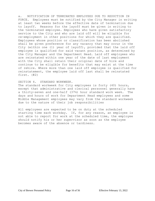a. NOTIFICATION OF TERMINATED EMPLOYEES DUE TO REDUCTION IN FORCE. Employees must be notified by the City Manager in writing at least two weeks before the effective date of termination due to layoff. Reasons for the layoff must be given in writing to the terminated employee. Employees who have given satisfactory service to the City and who are laid off will be eligible for re-employment in other positions for which they are qualified. Employees whose position or classification has been abolished shall be given preference for any vacancy that may occur in the City (within one (1) year of layoff), provided that the laid off employee is qualified for said vacant position, as determined by the City Manager and the Department Head. Laid off employees who are reinstated within one year of the date of last employment with the City shall retain their original date of hire and continue to be eligible for benefits that may exist at the time of rehire. Where more than one laid off employee is qualified for reinstatement, the employee laid off last shall be reinstated first. (#2)

## SECTION 4. STANDARD WORKWEEK.

The standard workweek for City employees is forty (40) hours, except that administrative and clerical personnel generally have a thirty-seven and one-half (37½) hour standard work week. The days and hours of work for Department Head employees and some Middle Management employees may vary from the standard workweek due to the nature of their job responsibilities

All employees are expected to be on duty at the scheduled starting time each workday. If, for any reason, an employee is not able to report for work at the scheduled time, the employee should notify his or her supervisor as soon as the employee becomes aware of the absence or tardiness.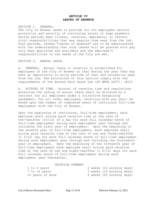## **ARTICLE IV LEAVES OF ABSENCE**

SECTION 1. GENERAL.

The City of Brewer seeks to provide for its employees certain protection and security of continuing salary or wage payments during periods when illness, vacation, emergency, or certain civic responsibilities that may require time away from the job. Such periods, termed "leaves of absence" are to be administered with the understanding that such leaves will be granted with pay only when qualified and available and the employee's responsibilities to the needs of the City are met.

SECTION 2. ANNUAL LEAVE.

a. GENERAL. Annual leave or vacation is established for employees of the City of Brewer so that during the year they may have an opportunity to enjoy periods of rest and relaxation away from the job. The provisions of this section comply with the requirements of the Earned Paid Leave Law (26 MRSA §637). (#12)

b. ACCRUAL OF TIME. Accrual of vacation time and regulations governing the taking of annual leave shall be dictated by a contract for all employees under a collective bargaining agreement. For all other employees, vacations with pay shall be based upon the number of completed years of continuous full-time employment with the City of Brewer.

Upon the beginning of continuous, full-time employment, each employee shall accrue paid vacation time at the rate of ten-twelfths (10/12) of a day for each full calendar month of full-time employment during each employment year through and including the sixth year of employment. Upon the beginning of the seventh year of full-time employment, each employee shall accrue paid vacation time at the rate of one and three-twelfths (1 3/12) day for each full calendar month of full-time employment during each employment year through and including the fourteenth year of employment. Upon the beginning of the fifteenth year of full-time employment each employee shall accrue paid vacation time at the rate of one and eight-twelfths (1 8/12) days for each full calendar month of full-time employment during each employment year thereafter.

#### VACATION SUMMARY

| 1 to 6 years     | 2 weeks (10 working days) |
|------------------|---------------------------|
| 7 to 14 years    | 3 weeks (15 working days) |
| 15 years or more | 4 weeks (20 working days) |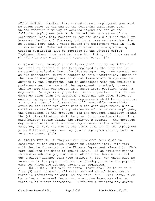ACCUMULATION. Vacation time earned in each employment year must be taken prior to the end of the following employment year. Unused vacation time may be accrued beyond the end of the following employment year with the written permission of the Department Head, City Manager or for the City Clerk and the City Assessor the Council Chairman, but in no case can vacation time be accrued more than 2 years beyond the employment year in which it was earned. Extended accrual of vacation time granted by written permission must be reported to the payroll office. Employees absent from work for more than thirty (30) days are not eligible to accrue additional vacation leave. (#2)

c. SCHEDULING. Accrued annual leave shall not be available for use until an individual has been employed by the City for 120 consecutive calendar days. The City Manager may, upon request and at his discretion, grant exception to this restriction. Except in the case of emergency, use of annual leave shall be approved in advance by the Department Head in accordance with the employee's preference and the needs of the department; provided, however, that no more than one person in a supervisory position within a department (a supervisory position means a position in which one employee other than the department head has the supervision of another employee within the same department) shall be on vacation at any one time if such vacation will reasonably necessitate overtime for other employees within the same department. When a conflict exists between the preferences of two or more employees, the preference of the employee with the greatest seniority within the job classification shall be given first consideration. If a paid holiday occurs during the employee's vacation, the employee may take an additional vacation day annexed to the scheduled vacation, or take the day at any other time during the employment year. Different provisions may govern employees working under a union contract. (#12)

d. RECORDKEEPING. A "Request for time Off" form shall be completed by the employee requesting vacation item. This form will then be forwarded to the Finance Department (Payroll). This form includes the dates of annual leave. If an employee wishes to receive advance pay for the vacation time, he/she must fill out a salary advance form (See Article V, Sec. 4b) which must be submitted to the payroll office the Tuesday prior to the payroll date for which the advance payment is requested. e. INCREMENTS. One week of annual leave shall be taken as a five (5) day increment, all other accrued annual leave may be taken in increments as small as one half hour. Sick leave, sick bonus leave, personal leave, and executive leave may also be taken in half-hour increments. Different provisions may govern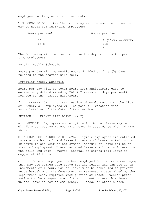employees working under a union contract.

TIME CONVERSION. (#2) The following will be used to convert a day to hours for full-time employees:

| Hours per Week | Hours per Day     |
|----------------|-------------------|
| 40             | 8 (10-Water/WPCF) |
| 37.5           | 7.5               |
| マヒ             |                   |

The following will be used to convert a day to hours for parttime employees:

#### Regular Weekly Schedule

Hours per day will be Weekly Hours divided by five (5) days rounded to the nearest half-hour.

#### Irregular Weekly Schedule

Hours per day will be Total Hours from anniversary date to anniversary date divided by 260 (52 weeks X 5 days per week) rounded to the nearest half-hour.

f. TERMINATION. Upon termination of employment with the City of Brewer, all employees will be paid all vacation time accumulated as of the date of termination.

SECTION 3. EARNED PAID LEAVE. (#12)

a. GENERAL. Employees not eligible for Annual Leave may be eligible to receive Earned Paid Leave in accordance with 26 MRSA §637.

b. ACCRUAL OF EARNED PAID LEAVE. Eligible employees are entitled to earn one hour of paid leave for every 40 hours worked, up to 40 hours in one year of employment. Accrual of leave begins on start of employment. Unused accrued leave shall carry forward to the following year. However, accrual of earned paid leave is capped at 40 hours.

c. USE. Once an employee has been employed for 120 calendar days, they may use earned paid leave for any reason and can use it in increments of 1 hour. Use of leave must be scheduled to prevent undue hardship on the department as reasonably determined by the Department Head. Employee must provide at least 2 weeks' prior notice to their supervisor of their intent to use this leave, unless leave is for an emergency, illness, or other sudden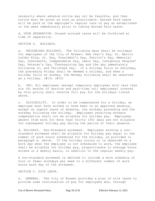necessity where advance notice may not be feasible, and then notice must be given as soon as practicable. Earned Paid Leave will be paid at the employee's regular rate of pay as established in the week immediately prior to taking Earned Paid Leave.

d. UPON SEPARATION. Unused accrued leave will be forfeited at time of separation.

SECTION 4. HOLIDAYS.

a. RECOGNIZED HOLIDAYS. The following days shall be holidays for employees of the City of Brewer: New Year's Day, Dr. Martin Luther King, Jr. Day, President's Day, Patriot's Day, Memorial Day, Juneteenth, Independence Day, Labor Day, Indigenous Peoples' Day, Veteran's Day, Thanksgiving Day and the day immediately following it, and Christmas Day. If a holiday falls on Saturday, the preceding Friday shall be deemed a holiday, and when a holiday falls on Sunday, the Monday following shall be observed as a holiday. (#13) (#15)

b. PAY. All employees (except temporary employees with less than six (6) months of service and part-time call employees) covered by this policy shall receive full pay for the holidays listed above.

c. ELIGIBILITY. In order to be compensated for a holiday, an employee must have worked or have been on an approved absence, except an unpaid leave of absence, the workday preceding and the workday following the holiday. Employees receiving workers compensation shall not be eligible for holiday pay. Employees absent from work for more than thirty (30) days are not eligible for subsequent holiday pay during the period of their absence.

d. HOLIDAYS. Non-Standard workweek. Employees working a nonstandard workweek shall be eligible for holiday pay equal to the number of work hours scheduled for the holiday, as provided in paragraph b. above. If the holiday occurs or is observed on a work day when the employee is not scheduled to work, the employee shall be eligible for holiday pay, proportionate to average hours worked on a weekly basis, in addition to the regular weekly pay.

A non-standard workweek is defined to include a work schedule of four or fewer workdays per week or a different number of work hours each day of the workweek.

SECTION 5. SICK LEAVE.

a. GENERAL. The City of Brewer provides a plan of sick leave to provide some continuation of pay for employees who, through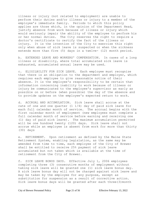illness or injury (not related to employment) are unable to perform their duties and/or illness or injury to a member of the employee's immediate family. Periods to which this policy applies are those which, in the opinion of the Department Head, justify absence from work because of illness or injury which would seriously impair the ability of the employee to perform his or her normal duties. The City reserves the right to require a doctor's certificate to certify the fact of the illness or injury. It is the intention of the City to exercise this right only when abuse of sick leave is suspected or when the sickness extends more than five (5) days in a twelve- (12) month period.

b. EXTENDED LEAVE AND WORKERS' COMPENSATION. In cases of a long illness or disability, where total accumulated sick leave is exhausted, accumulated annual leave may be used.

c. ELIGILBILITY FOR SICK LEAVE. Each employee must recognize that there is an obligation to the department and employer, which requires each employee to give reasonable notice of their absence. It is the employee's responsibility to be certain that information concerning inability to work because of illness or injury be communicated to the employee's supervisor as early as possible on or before (when possible) the day of the absence and to provide updates on the employee's expected return to work.

d. ACCRUAL AND ACCUMULATION. Sick leave shall accrue at the rate of one and one quarter  $(1 \ 1/4)$  day of paid sick leave for each full calendar month of service. The accrual begins with the first calendar month of employment (new employees must complete a full calendar month of service before earning and receiving one (1) day of paid sick leave). The maximum accumulation permitted will be one hundred twenty (120) days. Sick leave shall not accrue while an employee is absent from work for more than thirty (30) days

e. RETIREMENT. Upon retirement as defined by the Maine State Retirement System, enabling legislation, as the same may be amended from time to time, each employee of the City of Brewer shall be entitled to receive 25% payment of sick leave accumulated but not taken which is available at the time of retirement from the City of Brewer.

f. SICK LEAVE BONUS DAYS. Effective July 1, 2006 employees completing three (3) consecutive months of employment without taking sick leave will be granted one (1) sick leave bonus day. A sick leave bonus day will not be charged against sick leave and may be taken by the employee for any purpose, except as substitution for suspension as a result of corrective action. Sick leave bonus days will be granted after each three(3)month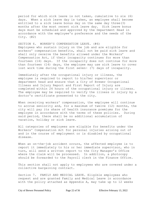period for which sick leave is not taken, cumulative to six (6) days. When a sick leave day is taken, an employee shall become entitled to a sick leave bonus day on the same day three(3) months after the most recent sick leave day. Sick leave bonus days must be scheduled and approved by the Department Head in accordance with the employee's preference and the needs of the  $City.$   $(H2)$ 

SECTION 6. WORKER'S COMPENSATION LEAVE. (#6) Employees who sustain injury on the job and are eligible for workers' compensation benefits, shall not be paid sick leave and shall only receive the benefits allowed under the Workers' Compensation Act, if their incapacity continues for more than fourteen (14) days. If the incapacity does not continue for more than fourteen (14) days, the employee may use sick leave to cover lost work time during the first seven- (7) days of incapacity.

Immediately after the occupational injury or illness, the employee is required to report to his/her supervisor or department head and ensure that a City of Brewer Occupational Illness and Injury Report and First Report of Injury are completed within 24 hours of the occupational injury or illness. The employee may be required to verify the illness or injury by a doctor's certificate presented to the city.

When receiving workers' compensation, the employee will continue to accrue seniority and, for a maximum of twelve (12) months, the city will pay its share of health insurance premiums for the employee in accordance with the terms of these policies. During said period, there shall be no additional accumulation of vacation, holiday or sick leave.

All categories of employees are eligible for benefits under the Workers' Compensation Act for personal injuries arising out of and in the course of employment or is disabled by occupational disease.

When an on-the-job accident occurs, the affected employee is to report it immediately to his or her immediate supervisor, who in turn, will send a written report to the City Manager's Office where the claim will be processed. In addition, a photocopy should be forwarded to the Payroll clerk in the Finance Office.

This section shall not apply to employees who are covered under a collective bargaining contract.

Section 7. FAMILY AND MEDICAL LEAVE. Eligible employees who request and are granted Family and Medical Leave in accordance with the policy attached as Appendix A, may take up to 12 weeks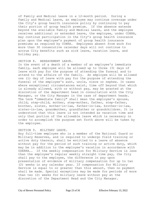of Family and Medical Leave in a 12-month period. During a Family and Medical Leave, an employee may continue coverage under the City's group health insurance policy by continuing to pay their portion of group health premium. If the absence extends beyond the available Family and Medical Leave, and the employee receives additional or extended leave, the employee, under COBRA, may continue participation in the City's group health insurance plan upon the employee's payment of group health insurance premiums as required by COBRA. Employees absent from work for more than 30 consecutive calendar days will not continue to accrue City benefits such as sick leave, vacation leave, and holiday pay.

#### SECTION 8. BEREAVEMENT LEAVE.

In the event of a death of a member of an employee's immediate family, each employee will be allowed up to three (3) days of leave with pay for the purpose of attending the funeral and to attend to the affairs of the family. An employee will be allowed one (1) day of leave with pay for the purpose of attending the funeral of the employee's aunt, uncle, niece or nephew. In cases where exceptional circumstances exist, time off beyond that which is already allowed, with or without pay, may be granted at the discretion of the department head in consultation with the City Manager, or the City Manager in the case of department heads. The term "immediate family" shall mean the employee's spouse, child, step-child, mother, step-mother, father, step-father, brother, sister, mother-in-law, father-in-law, brother-in-law, sister-in-law, grandmother, grandfather or grandchildren. It is understood that this leave is not intended as vacation time and only that portion of the allowable leave which is necessary in order to accomplish the purpose set forth above will be taken by the employee.

## SECTION 9. MILITARY LEAVE.

Any full-time employee who is a member of the National Guard or Military Reserves, and is required to undergo field training or active duty therein, shall be entitled to a leave of absence without pay for the period of such training or active duty, which may be in addition to the employee's vacation in accordance with USERRA.. If the weekly compensation for Military Service is less than the employee's regular weekly straight time pay, the City shall pay to the employee, the difference in pay upon presentation of evidence of military compensation for up to two (2) weeks in any calendar year. If compensation for Military Service is equal to or greater than this amount, then no payment shall be made. Special exceptions may be made for periods of more than two (2) weeks for military leave without pay at the discretion of the Department Head and the City Manager.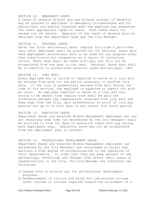### SECTION 10. EMERGENCY LEAVE.

A leave of absence without pay and without accrual of benefits may be granted to employees in emergency circumstances and for educational and medical purposes when the employee has exhausted the other appropriate types of leave. Such leave shall not exceed six (6) months. Approval of the leave of absence must be obtained from the department head and the City Manager.

#### SECTION 11. PERSONAL LEAVE.

After the first anniversary date, regular full-time & part-time (pro rata) employees shall be granted two (2) personal leave days each employment anniversary date to be used for any purpose other than substitution for suspension as a result of corrective action. These days shall be taken with pay, but will not be accumulated from one year to the next. Personal leave days shall be in addition to accumulated vacation leave and holidays. (#2)

#### SECTION 12. JURY DUTY.

Every employee who is called or required to serve on a jury will be excused from work for the period necessary to perform this duty. If the jury is prematurely excused from duty during the time of its service, the employee is expected to report for work as usual. An employee required to serve on a jury and thus having to be absent from regular work shall be paid the difference between the compensation received from jury duty and base wage from the City, upon presentation of proof of jury pay granted for up to 25 work days in any twelve (12) month period.

### SECTION 13. EXECUTIVE LEAVE.

Department Heads and selected Middle Management employees who are not receiving comp time (as determined by the City Manager) shall be entitled to five (5) days of executive leave with pay during each employment year. Executive leave may not be accumulated from one employment year to another.

#### SECTION 14. PROFESSIONAL DEVELOPMENT LEAVE.

Department Heads and selected Middle Management employees (as determined by the City Manager) are encouraged to attain and maintain a high degree of professionalism in the operation of their departments. In order that they may keep abreast of new methodology, technology and changes that affect their areas of responsibility to the City, the City Manager may authorize the following:

- a) Leaves with or without pay for professional development purposes.
- b) Reimbursement of tuition and books for job-related college level courses or courses required toward the attainment of a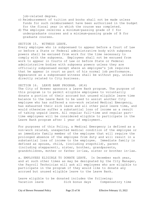job-related degree.

- c) Reimbursement of tuition and books shall not be made unless funds for such reimbursement have been authorized in the budget for the fiscal year in which the course was completed.
- d) The employee receives a minimum-passing grade of C for undergraduate courses and a minimum-passing grade of B for graduate courses.

#### SECTION 15. WITNESS LEAVE.

Every employee who is subpoenaed to appear before a Court of Law or before a State or Federal administrative body with subpoena powers shall be excused from work for the time necessary to comply with the subpoena. Employees shall not be excused from work to appear in Courts of Law or before State or Federal administrative bodies with subpoena powers unless they are officially subpoenaed except where an employee's job requires that he appear in court as part of his normal job performance. Appearance as a subpoenaed witness shall be without pay, unless directly related to City business.

## SECTION 16. LEAVE BANK PROGRAM. (#14)

The City of Brewer sponsors a Leave Bank program. The purpose of this program is to permit eligible employees to voluntarily donate a portion of their accrued but unused eligible leave time balance to the Leave Bank to be used to assist another City employee who has suffered a non-work related Medical Emergency, has exhausted their sick leave and all other paid leave time, and would otherwise suffer a substantial loss of income as a result of taking unpaid leave. All regular full-time and regular parttime employees will be considered eligible to participate in the Leave Bank program after 1 year of employment.

For purposes of this Policy, a Medical Emergency is defined as a non-work related, unexpected medical condition of the employee or an immediate family member of the employee that will require the prolonged absence of the employee from duty and will result in a substantial loss of income to the employee. Immediate family is defined as spouse, child, (including stepchild), parent (including stepparent), sister, brother, grandparents, grandchildren, mother or father in-law, sister or brother in-law.

a. EMPLOYEES ELIGIBLE TO DONATE LEAVE. In December each year, and at such other times as may be designated by the City Manager, the Payroll Technician will ask all employees who are eligible to participate in the program if they would like to donate any accrued but unused eligible leave to the Leave Bank.

Leave eligible to be donated includes the following: Vacation leave Sick bonus days Compensatory time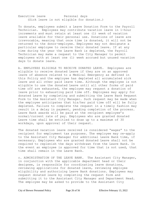Executive leave **Personal days** (Sick leave is not eligible for donation.)

To donate, employees submit a Leave Donation Form to the Payroll Technician. Employees may contribute vacation leave in 1-hour increments and must retain at least one (1) week of vacation leave available for their personal use. Donations of leave are irrevocable, meaning that once time is donated, it will not be returned to the donor-employee. Employees may not designate a particular employee to receive their donated leave. If at any time during the year the Leave Bank is depleted, the Payroll Technician may make a request to the City Manager to permit employees with at least one (1) week accrued but unused vacation days to donate leave.

b. EMPLOYEES ELIGIBLE TO RECEIVE DONATED LEAVE. Employees are eligible to receive donated Leave if they are on an approved leave of absence related to a Medical Emergency as defined in this Policy and the employee has depleted all accumulated sick leave and all other paid leave time. Although the employee is not eligible to use the donated Leave until all other forms of paid time off are exhausted, the employee may request a donation of leave prior to exhausting paid time off. Employees may apply for donated Leave by completing and submitting the Leave Bank Request Form to the Assistant City Manager. Such request may be made when the employee anticipates that his/her paid time off will be fully depleted. Failure to complete the request in a timely fashion may result in a delay in payment, pending completion of the process. Leave Bank awards will be paid at the recipient employee's normal/current rate of pay. Employees who are granted donated Leave time shall be entitled to draw up to a maximum of 30 workdays, upon approval of their request.

The donated vacation leave received is considered "wages" to the recipient for employment tax purposes. The employee may re-apply to the Assistant City Manager for additional Leave Bank time, if necessary. Employees who are granted donated Leave shall not be required to replenish the days withdrawn from the Leave Bank. In the event an employee is approved for time that is not used, that time shall remain in the Leave Bank.

c. ADMINISTRATION OF THE LEAVE BANK. The Assistant City Manager, in conjunction with the applicable department head or their designee, is responsible for coordinating leave donations, reviewing applications for donated leave, reviewing employee eligibility and authorizing Leave Bank donations. Employees may request donated leave by completing the request form and submitting it to the Assistant City Manager and Department Head. The employee may be asked to provide to the Assistant City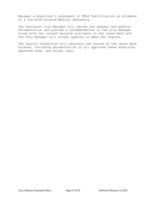Manager a physician's statement or FMLA Certification as evidence of a non-work-related Medical Emergency.

The Assistant City Manager will review the request and medical documentation and provide a recommendation to the City Manager along with the current balance available in the Leave Bank and the City Manager will either approve or deny the request.

The Payroll Technician will maintain the record of the Leave Bank balance, including documentation of all approved leave donations, approved uses, and actual uses.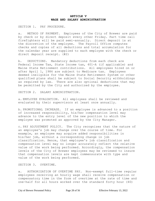## **ARTICLE V WAGE AND SALARY ADMINISTRATION**

SECTION 1. PAY PROCEDURE.

a. METHOD OF PAYMENT. Employees of the City of Brewer are paid by check or by direct deposit every other Friday. Part time call firefighters will be paid semi-annually. Direct deposit is at the discretion of the employee. The Payroll Office computes checks and copies of all deductions and total accumulation for the calendar year are supplied to each employee with the check or direct deposit receipt. (#2)

b. DEDUCTIONS. Mandatory deductions from each check are Federal Income Tax, State Income tax, 401-A (if applicable) and Maine State Retirement contributions. All employees hired on or after April 1, 1986 are subject to Medicare tax. Employees deemed ineligible for the Maine State Retirement System or other qualified plans shall be subject to Social Security withholdings as required by law. There are also optional deductions that may be permitted by the City and authorized by the employee.

SECTION 2. SALARY ADMINISTRATION.

a. EMPLOYEE EVALUATION. All employees shall be reviewed and evaluated by their supervisors at least once annually.

b. PROMOTIONAL INCREASE. If an employee is advanced to a position of increased responsibility, his/her compensation level may advance to the entry level of the new position to which the employee was promoted as approved by the City Manager.

c. PAY ADJUSTMENT POLICY. The City recognizes that the nature of an employee's job may change over the course of time. For example, an employee may acquire added responsibilities in his/her job, without a corresponding change in job classification. Hence, that employee's job classification and compensation level may no longer accurately reflect the relative value of the work being performed. Accordingly, the compensation levels of the City of Brewer employees may be reviewed to insure that compensation levels are kept commensurate with type and value of the work being performed.

SECTION 3. OVERTIME.

a. AUTHORIZATION OF OVERTIME PAY. Non-exempt full-time regular employees receiving an hourly wage shall receive compensation or compensatory time in the form of overtime at the rate of time and one-half for all hours worked over the standard forty hour (40)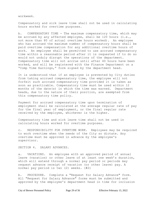workweek.

Compensatory and sick leave time shall not be used in calculating hours worked for overtime purposes.

b. COMPENSATORY TIME - The maximum compensatory time, which may be accrued by any affected employee, shall be 120 hours (i.e., not more than 80 of actual overtime hours worked). An employee who has accrued the maximum number of compensatory hours shall be paid overtime compensation for any additional overtime hours of work. An employee shall be permitted to use accrued compensatory time within a reasonable period after it is requested if to do so would not unduly disrupt the operations of the department. Compensatory time will not accrue until after 40 hours have been worked, and will be registered with the Finance Department on a "Comp Time Earnings," form signed by the department head.

It is understood that if an employee is prevented by City duties from taking accrued compensatory time, the employee will not forfeit such accrued compensatory time provided it is taken as soon as practicable. Compensatory time must be used within 12 months of the date(s) in which the time was earned. Department heads, due to the nature of their position, are exempted from this compensatory time policy.

Payment for accrued compensatory time upon termination of employment shall be calculated at the average regular rate of pay for the final year of employment, or the final regular rate received by the employee, whichever is the higher.

Compensatory time and sick leave time shall not be used in calculating hours worked for overtime purposes.

c. RESPONSIBILITY FOR OVERTIME WORK. Employees may be required to work overtime when the needs of the City so dictate. Any overtime must be approved in advance by the employee's supervisor.

SECTION 4. SALARY ADVANCES.

a. VACATIONS. An employee with an approved period of annual leave (vacation) or other leave of at least one week's duration, which will extend through a normal pay period or periods may request advance receipt of vacation (or other leave) pay. A normal pay period is two (2) weeks. (#2)

b. PROCEDURE. Complete a "Request for Salary Advance" form. All "Request for Salary Advance" forms must be submitted and approved by the employee's department head in time for inclusion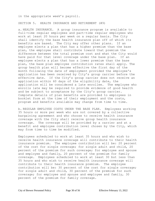in the appropriate week's payroll.

SECTION 5. HEALTH INSURANCE AND RETIREMENT (#9)

a. HEALTH INSURANCE. A group insurance program is available to full-time regular employees and part-time regular employees who work at least 20 hours per week on a regular basis. The City shall identify the base health insurance plan off of which its benefits are based. The City may offer other plans. If an employee elects a plan that has a higher premium than the base plan, the employee shall contribute toward that premium the difference between the total premium cost and what the City would have paid for that level coverage under the base plan. If an employee elects a plan that has a lower premium than the base plan, the base plan employee contribution rates shall apply. The group health plan will become effective the first day of the month following the date of employment provided the employee's application has been received by City's group carrier before the effective date. If the City's group carrier does not receive an application within 60 days of the eligibility date, the application will be considered a late enrollee. The employee who enrolls late may be required to provide evidence of good health and be subject to acceptance by the City's group carrier. Complete details of plan benefits are provided to employees in booklet form at the time of their employment and the costs, program and benefits available may change from time to time.

b. REGULAR EMPLOYEE COSTS UNDER THE BASE PLAN. Employees working 35 hours or more per week who are not covered by a collective bargaining agreement and who choose to receive health insurance coverage with the City shall receive group health insurance coverage. The coverage will be provided by a carrier and at a benefit and employee contribution level chosen by the City, which may from time to time be modified.

Employees scheduled to work at least 35 hours and who wish to receive health insurance coverage will contribute to their health insurance premium. The employee contribution will be: 20 percent of the cost for single coverage; for single adult and child, 20 percent of the premium for such coverage; for employee and spouse and employee and family, 20 percent of the premium for family coverage. Employees scheduled to work at least 30 but less than 35 hours and who wish to receive health insurance coverage will contribute to their health insurance premium. The employee contribution will be: 30 percent of the cost for single coverage; for single adult and child, 30 percent of the premium for such coverage; for employee and spouse and employee and family, 30 percent of the premium for family coverage.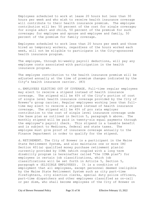Employees scheduled to work at lease 20 hours but less than 30 hours per week and who wish to receive health insurance coverage will contribute to their health insurance premium. The employee contribution will be: 50 percent of the cost for single coverage; for single adult and child, 50 percent of the premium for such coverage; for employee and spouse and employee and family, 50 percent of the premium for family coverage.

Employees scheduled to work less than 20 hours per week and those hired as temporary workers, regardless of the hours worked each week, will not be eligible to participate in the City-sponsored health insurance program.

The employee, through bi-weekly payroll deductions, will pay any employee costs associated with participation in the health insurance program.

The employee contribution to the health insurance premium will be adjusted annually at the time of premium changes indicated by the City's health insurance carrier. (#3)

c. EMPLOYEES ELECTING OUT OF COVERAGE. Full-time regular employees may elect to receive a stipend instead of health insurance coverage. The stipend will be 45% of the City's portion of cost of single level health insurance coverage provided by the City of Brewer's group carrier. Regular employees working less than fulltime may elect to receive a stipend instead of health insurance coverage. The stipend will be 45% of pro rata employer contribution to the cost of single level insurance coverage unde the base plan as outlined in Section 5, paragraph b above. The monthly stipend will be paid in twenty-six equal payments through the employee's payroll check. This stipend is a taxable benefit and is subject to Medicare, federal and state taxes. The employee must give proof of insurance coverage annually to the Finance Department in order to qualify for the stipend.

d. RETIREMENT. The City of Brewer is a participant in the Maine State Retirement System, and also maintains one or more IRC Section 401(a) qualified money purchase retirement plan(s) currently provided by ICMA (which coupled with a long term disability program is hereinafter called "the ICMA plan") for employees in certain job classifications, which job classifications will be set forth in Article 5, Section 5, paragraph e (ELIGIBLE EMPLOYEES). It is a condition of employment that all employees, except personnel deemed ineligible by the Maine State Retirement System such as city part-time firefighters, city election clerks, special duty police officers, part-time dispatchers and other employees classified as on-call or per diem, who shall become employees of the City of Brewer on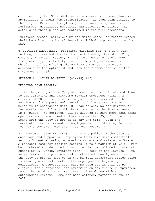or after July 1, 1999, shall enter whichever of these plans is appropriate to their job classification, as such plan applies to the City of Brewer. The plans provide various options for retirement, disability benefits, and survivor benefits. The details of these plans are contained in the plan documents.

Employees deemed ineligible by the Maine State Retirement System shall be subject to Social Security withholdings as required by law.

e. ELIGIBLE EMPLOYEES. Positions eligible for "the ICMA Plan," include, but are not limited to the following: Assistant City Manager, Finance Director, Fire Chief, Economic Development Director, City Clerk, City Planner, City Engineer, and Police Chief. The list of eligible employees may be increased or decreased at the option of and upon the recommendation of the City Manager. (#2)

SECTION 6. OTHER BENEFITS.  $(\#5)$  (#8) (#10)

PERSONAL LOAN PROGRAM

It is the policy of the City of Brewer to offer 0% interest loans to all full-time and part-time regular employees working a minimum of 20 hours per week for purchases described in this Section 6 of the personnel manual. Such loans are taxable benefits in accordance with IRS regulations. No assignments or re-negotiation of loans will be allowed once the loan agreement is in place. No employee will be allowed to have more than three open loans or be allowed to borrow more than \$5,000 in personal loans from the City of Brewer at any one time. Upon the termination or retirement of employee, all outstanding Personal Loan balances are immediately due and payable in full.

a. PERSONAL COMPUTER LOANS. It is the policy of the City to encourage and support all employees to become more comfortable and proficient at using personal computers and related software. A personal computer package costing up to a maximum of \$2,500 may be purchased and deducted through regular payroll deductions not exceeding 104 weeks, interest free. A copy of the invoice (with sales tax) of the purchase and a notarized Loan Agreement with the City of Brewer must be in the payroll department office prior to issuing a refund check to the employee and beginning deductions. A previous loan must be paid off in full to be eligible for a purchase/loan agreement on any future PC upgrades. Upon the termination or retirement of employee with an outstanding Personal Computer Loan balance, payment is due in full.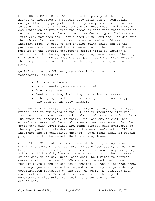b. ENERGY EFFICIENCY LOANS. It is the policy of the City of Brewer to encourage and support city employees in addressing energy efficiency projects at their primary residence. In order to be eligible for this program the employee must provide proper documentation to prove that the property receiving these funds is in their name and is their primary residence. Qualified Energy Efficiency upgrades shall not exceed \$5,000 and shall be deducted through regular payroll deductions not exceeding 104 weeks interest free. A copy of the invoice (with sales tax of the purchase and a notarized Loan Agreement with the City of Brewer must be in the payroll department office prior to issuing a refund check to the employee and beginning deductions. The City of Brewer will provide vouchers to qualified contractor/vendors when requested in order to allow the project to begin prior to payment.

Qualified energy efficiency upgrades include, but are not necessarily limited to:

- Furnace replacement
- Solar Panels (passive and active)
- Window upgrades
- Weatherization, including insulation improvements
- Other projects that are deemed qualified as energy projects by the City Manager.

c. HRA BRIDGE LOANS. The City of Brewer offers a no interest bridge loan to employees in the PPO health insurance plan who need to pay a co-insurance and/or deductible expense before their HRA funds are accessible to them. The loan amount shall not exceed the lesser of the total calendar year HRA amount for the employee's plan level minus HRA funds already made available to the employee that calendar year or the employee's actual PPO coinsurance and/or deductible expense. Such loans shall be repaid proportional to the amount HRA funds being loaned.

d. OTHER LOANS. At the discretion of the City Manager, and within the terms of the loan program described above, a loan may be provided to an employee to address an extraordinary emergency situation if the City Manager determines it is in the interest of the City to do so. Such loans shall be limited to extreme cases, shall not exceed \$5,000 and shall be deducted through regular payroll deductions not exceeding 104 weeks interest free. The employee shall make the request in writing and provide any documentation requested by the City Manager. A notarized Loan Agreement with the City of Brewer must be in the payroll department office prior to issuing a check and beginning deductions.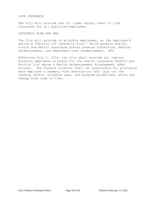#### LIFE INSURANCE

The City will provide one (1) times salary level of life insurance for all qualified employees.

## CAFETERIA PLAN AND HRA

The City will provide to eligible employees, at the employee's option a "Section 125 Cafeteria Plan," which permits health, vision and dental insurance pretax premium conversion, medical reimbursement, and dependent care reimbursement. (#2)

Effective July 1, 2014, the City shall provide all regular nonunion employees eligible for the health insurance benefit per Section 5(a) above a Health Reimbursement Arrangement (HRA) account. The Finance Director shall be responsible for providing each employee a Summary Plan Description that lays out the funding levels, eligible uses, and program guidelines, which may change from time to time.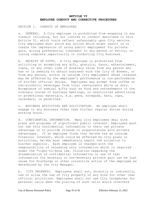## **ARTICLE VI EMPLOYEE CONDUCT AND CORRECTIVE PROCEDURES**

SECTION 1. CONDUCT OF EMPLOYEES

a. GENERAL. A City employee is prohibited from engaging in any conduct including, but not limited to conduct described in this Article VI, which could reflect unfavorably upon City service. City employees must avoid any action which might result in or create the impression of using public employment for private gain, giving preferential treatment to any person or entity, or losing complete impartiality in conducting City business.

b. RECEIPT OF GIFTS. A City employee is prohibited from soliciting or accepting any gift, gratuity, favor, entertainment, loans, or any other item of monetary value from any person who has or is seeking to obtain business with the City of Brewer, or from any person, within or outside City employment whose interest may be affected by the employee's performance or non-performance of his/her official duties. Employees may accept free coffee or non-alcoholic beverages from local restaurants while on duty. Acceptance of nominal gifts such as food and refreshments in the ordinary course of business meetings, or unsolicited advertising or promotional materials, e.g. pens, notepads, hats, cups, calendars, is permitted.

c. BUSINESS ACTIVITIES AND SOLICITATION. No employee shall engage in any business other than his/her regular duties during working hours.

d. CONFIDENTIAL INFORMATION. Many City employees deal with plans and programs of significant public interest. Employees must not use this confidential information to their own private advantage or to provide friends or acquaintances with private advantages. If an employee finds that he/she has an outside financial interest, which could be affected by City plans or activities, he/she must immediately report the situation to his/her superior. Each employee is charged with the responsibility of releasing only information which is required under the "right-to-know law. Violation regarding the dissemination of confidential information or use of that information for monetary or non-monetary private gain can be just cause for discharge or other corrective action of the employee as determined by the City Manager.

b. CITY PROPERTY. Employees shall not, directly or indirectly, use or allow the use of City property of any kind for other than official activities. Employees shall not use City telephones for personal calls when the placing of such calls would interfere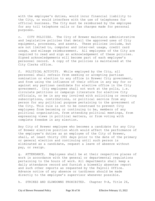with the employee's duties, would incur financial liability to the City, or would interfere with the use of telephones for official business. The City must be reimbursed by the employee for any toll telephone calls or fax charges made for personal purposes.

c. CITY POLICIES. The City of Brewer maintains administrative and legislative policies that detail the approved uses of City equipment, processes, and assets. These policies include, but are not limited to, computer and inter-net usage, credit card usage, and mileage reimbursement. All employees of the City are required to read and sign an acknowledgement of these policies. Signed acknowledgements will become part of each employee's personnel record. A copy of the policies is maintained at the City Clerks office.

f. POLITICAL ACTIVITY. While employed by the City, all personnel shall refrain from seeking or accepting partisan nomination or election to any office in Brewer City government, and from using the influence of their office in any way for or against any partisan candidate for elective office in the City government. City employees shall not work at the polls, i.e. circulate petitions or campaign literature for elective City officials, or be in any way involved with soliciting or receiving subscriptions, contributions, or political service from any person for any political purpose pertaining to the government of the City. This rule is not to be construed to prevent City employees from becoming or continuing to be, members of any political organization, from attending political meetings, from expressing views in political matters, or from voting with complete freedom in any election.

Any City of Brewer employee who becomes a candidate for any City of Brewer elective position which would affect the performance of the employee's duties as an employee of the City of Brewer, shall, at least thirty (30) days prior to the date of the primary or general election and continuing until such person is eliminated as a candidate, request a leave of absence without pay, or resign.

g. ATTENDANCE. Employees shall be at their respective places of work in accordance with the general or departmental regulations pertaining to the hours of work. All departments shall keep a daily attendance record and furnish a biweekly absentee report and such other reports as requested by the Payroll Office. Advance notice of any absence or tardiness should be made directly to the employee's supervisor whenever possible.

h. STRIKES AND SLOWDOWNS PROHIBITED. Chapter 9-A, Title 26,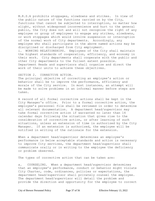M.R.S.A prohibits stoppages, slowdowns and strikes. In view of the public nature of the functions carried on by the City, functions that cannot be subjected to interruption, no matter how slight, without widespread inconvenience and hurt to the general public, the City does not and will not recognize the right of any employee or group of employees to engage any strikes, slowdowns, or work stoppages which would involve suspension or interruption of the normal work of City departments. Accordingly, any employee who shall participate in the above named actions may be disciplined or discharged from City employment. i. WORKING RELATIONSHIPS. Employees of the City shall maintain the highest standards of cooperation, efficiency, and economy in their work. City departments shall cooperate with the public and other City departments to the fullest extent possible. Department Heads and supervisors shall organize and direct the work of their units to achieve these objectives.

#### SECTION 2. CORRECTIVE ACTION.

The principal objective of correcting an employee's action or behavior shall be to improve the performance, efficiency and morale of the City service. In most instances, an attempt will be made to solve problems in an informal manner before steps are taken.

A record of all formal corrective actions shall be kept in the City Manager's office. Prior to a formal corrective action, the employee's personnel file shall be reviewed in order to determine all relevant documentation. A department head/supervisor may take formal corrective action if warranted no later than 14 calendar days following the situation that gives rise to the consideration of corrective action, or after learning of such situations, unless an extension of time is authorized by the City Manager. If an extension is authorized, the employee will be notified in writing of the rationale for the extension.

When a department head/supervisor determines an employee's performance is below acceptable standards and action is necessary to improve City services, the department head/supervisor shall communicate orally or in writing to the employee the deficiency or problem observed.

The types of corrective action that can be taken are:

a. COUNSELING. When a department head/supervisor determines that an employee's performance, conduct or behavior might violate City Charter, code, ordinances, policies or expectations, the department head/supervisor shall privately counsel the employee. The department head/supervisor will detail the problem and provide the direction and opportunity for the employee to correct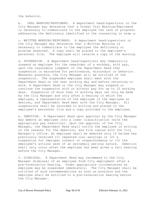the behavior.

b. ORAL WARNING/REPRIMAND. A department head/supervisor or the City Manager may determine that a formal Oral Warning/Reprimand is necessary to communicate to the employee the lack of progress addressing the deficiency identified in the counseling in step a.

c. WRITTEN WARNING/REPRIMAND. A department head/supervisor or the City Manager may determine that a Written Warning is necessary to communicate to the employee the deficiency or problem observed. A copy shall be placed in the employee's personnel file. The employee will receive a copy of the warning.

d. SUSPENSION. A department head/supervisor may temporarily suspend an employee for the remainder of a workday, with pay, upon the reasonable judgment of the Department Head that suspension is warranted for performance, misconduct or behavior. Whenever possible, the City Manager will be notified of the suspension. The suspended employee shall meet with the Department Head on the next working day and before returning to work. A Department Head or the City Manager may suspend or continue the suspension with or without pay for up to 10 working days. Suspension of more than 10 working days can only be made by the City Manager and only after a hearing in which the employee, a representative of the employee if the employee so desires, and Department Head meet with the City Manager. All suspensions shall be recorded in writing and placed in the employee's personnel file and a copy provided to the employee.

e. DEMOTION. A Department Head upon approval by the City Manager may demote an employee into a lower classification (with the appropriate pay reduction). Upon the approval of the City Manager, the Department Head shall notify the employee in writing of the reasons for the demotion, and file copies with the City Manager's office. An employee shall be demoted only if he/she has previously received (1) repeated oral warnings or (2) a suspension for improper conduct or nonperformance or (3) the employee's actions were of an extremely serious nature. Demotion shall only occur after the employee has been given a fair hearing before the City Manager.

f. DISMISSAL. A Department Head may recommend to the City Manager dismissal of an employee from City employment after a pre-termination hearing. Under appropriate circumstances an employee may be suspended immediately. The City Manager shall be notified of such recommendations as soon as possible and the employee shall be entitled to a pre-termination hearing before the City Manager.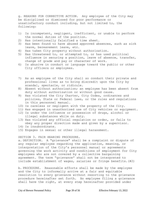g. REASONS FOR CORRECTIVE ACTION. Any employee of the City may be disciplined or dismissed for poor performance or unsatisfactory conduct including, but not limited to, the following:

- 1) Is incompetent, negligent, inefficient, or unable to perform the normal duties of the position.
- 2) Has intentionally falsified a time sheet.
- 3) Has been found to have abused approved absences, such as sick leave, bereavement leave, etc.
- 4) Has taken City property without authorization.
- 5) Has threatened to, or attempted to, or has used political influence in securing a position, leave of absence, transfer, change of grade and pay or character of work.
- 6) Is abusive in conduct or language toward the public or other City officers or employees.
- 7) As an employee of the City shall so conduct their private and professional lives as to bring discredit upon the City by scandal, spectacle, or ridicule.
- 8) Absent without authorization; an employee has been absent from duty without authorization or without good cause.
- 9) Has violated the City Charter, City Codes, ordinances and policies, State or Federal laws, or the rules and regulations in this personnel manual.
- 10) Is careless or negligent with the property of the City.
- 11) Has engaged in unauthorized use of City vehicles or equipment.
- 12) Is under the influence or possession of drugs, alcohol or illegal substances while on duty.
- 13) Has violated any official regulation or order, or fails to obey any proper direction made and given by a supervisor.
- 14) Is insubordinate.
- 15) Engages in sexual or other illegal harassment.

## SECTION 3. FAIR HEARING PROCEDURE.

a. DEFINITION. A "grievance" shall be a complaint or dispute of any regular employee regarding the application, meaning, or interpretation of the City's personnel manual or agreements governing the work activity and conditions of employment for City employees who are not covered by a collective bargaining agreement. The term "grievance" shall not be interpreted to include establishment of wages, salaries or fringe benefits.(#2)

b. PROCEDURE. Reasonable efforts shall be made by the employee and the City to informally arrive at a fair and equitable resolution to every grievance without resorting to the grievance procedure hereinafter set forth. An employee filing a grievance shall have the right, at every step hereinafter provided under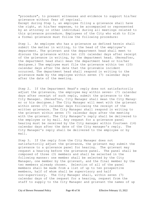"procedure", to present witnesses and evidence to support his/her grievance without fear of reprisal. Except during Step 1, an employee filing a grievance shall have the right, at his/her expense, to be accompanied or represented by an attorney or other individual during all meetings related to this grievance procedure. Employees of the City who wish to file a formal grievance must follow the following procedure:

Step 1. An employee who has a grievance as defined herein shall submit the matter in writing, to the head of the employee's department. The grievant and the department head shall meet to discuss the grievance within ten (10) calendar days after receipt of the grievance in writing, by the department head. (Hereafter, the department head shall mean the department head or his/her designee.) The employee must file the grievance within ten (10) calendar days after the date that the grievable incident occurred. The department head shall respond in writing to the grievance made by the employee within seven (7) calendar days after the date of the meeting.

Step 2. If the Department Head's reply does not satisfactorily adjust the grievance, the employee may within seven- (7) calendar days after receipt of such reply, submit the grievance to the City Manager. (Hereafter, City Manager shall mean the City Manager or his designee.) The City Manager will meet with the grievant within seven (7) calendar days following the receipt of the written grievance. The City Manager shall respond in writing to the grievant within seven (7) calendar days after the meeting with the grievant. The City Manager's reply shall be delivered to the employee or by mail. Any request for a grievance panel hearing must be received by the City manager within fourteen (14) calendar days after the date of the City manager's reply. The City Manager's reply shall be delivered to the employee or by mail.

Step 3. If the reply from the City Manager does not satisfactorily adjust the grievance, the grievant may submit the grievance to a grievance panel for hearing. The grievant may request a hearing before the grievance panel. The panel shall be composed of three (3) members and shall be selected in the following manner: one member shall be selected by the City Manager, one member by the grievant, and the final member by the two members already chosen. Selection of all of the panel members shall be made from a list of up to ten prospective members, half of whom shall be supervisory and half non-supervisory. The City Manager shall, within seven (7) calendar days of the request for a hearing, request from the staff to supply to the City Manager and grievant the names of up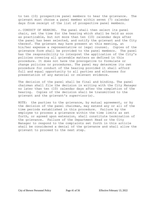to ten (10) prospective panel members to hear the grievance. The grievant must choose a panel member within seven (7) calendar days from receipt of the list of prospective panel members.

c. CONDUCT OF HEARING. The panel shall then select its panel chair, set the time for the hearing which shall be held as soon as practicable, but not more than ten (10) calendar days after the panel has been selected, and notify the grievant and the City thereof. The grievant may have present at this meeting, at his/her expense a representative or legal counsel. Copies of the grievance form shall be provided to the panel members. The panel has the responsibility to interpret the application of the City's policies covering all grievable matters as defined in this procedure. It does not have the prerogative to formulate or change policies or procedures. The panel may determine its own procedure for conduct of the hearing provided it shall afford full and equal opportunity to all parties and witnesses for presentation of any material or relevant evidence.

The decision of the panel shall be final and binding. The panel chairman shall file the decision in writing with the City Manager no later than ten (10) calendar days after the completion of the hearing. Copies of the decision shall be transmitted to the grievant and the grievant's supervisor(s).

NOTE: the parties to the grievance, by mutual agreement, or by the decision of the panel chairman, may extend any or all of the time periods established in this procedure. Failure by the employee to process a grievance within the time limits as set forth, or agreed upon extension, shall constitute termination of the grievance. Failure of the Department Head or the City Manager to respond to the complaints set forth in this article shall be considered a denial of the grievance and shall allow the grievant to proceed to the next step.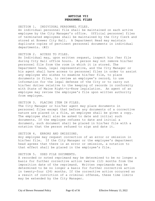## **ARTICLE VII PERSONNEL FILES**

SECTION 1. INDIVIDUAL PERSONNEL FILES. An individual personnel file shall be maintained on each active employee by the City Manager's office. Official personnel files of terminated employees shall be maintained by the City Clerk and stored at Brewer City Hall. A Department Head may maintain duplicate copies of pertinent personnel documents in individual departments. (#2)

#### SECTION 2. ACCESS TO FILES.

An Individual may, upon written request, inspect his /her file during City Hall office hours. A person may not remove his/her personnel file from the room in which it is stored. The Department head, legal representative, and the City Manager or his agent shall have access to personnel files in order to assist any employee who wishes to examine his/her file, to place documents in files, to review an employee's record, to use information for the legal defense of the City or to carry out his/her duties relative to the keeping of records in conformity with State of Maine Right-to-Know legislation. An agent of an employee may review the employee's file upon written authority from employee.

## SECTION 3. PLACING ITEM IN FILES.

The City Manager or his/her agent may place documents in personnel files except that before any documents of a corrective nature are placed in a file, an employee shall be given a copy. The employee shall also be asked to date and initial such documents. If the employee refuses to date and initial a document, such document shall be placed in his/her file with a notation that the person refused to sign and date it.

#### SECTION 4. ERRORS AND OMISSIONS.

Any employee may request correction of an error or omission in his/her file. If the City Manager or the employee's department head agrees that there is an error or omission, a notation to that effect shall be placed in the employee's file.

#### SECTION 5. USED FILE DOCUMENTS.

A recorded or noted reprimand may be determined to be no longer a basis for further corrective action twelve (12) months from the imposition date of the reprimand. Written reprimands may be determined to be no longer a basis for further corrective action in twenty-four (24) months. If the corrective action occurred as a result of conviction of a criminal offense, these time limits may be extended by the City Manager.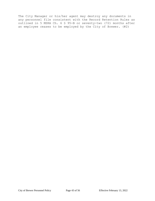The City Manager or his/her agent may destroy any documents in any personnel file consistent with the Record Retention Rules as outlined in 5 MSRA Ch. 6 § 95-B or seventy-two (72) months after an employee ceases to be employed by the City of Brewer. (#2)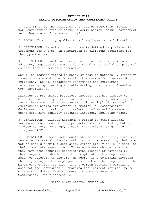## **ARTICLE VIII SEXUAL DISCRIMINATION AND HARASSMENT POLICY**

1. POLICY: It is the policy of the City of Brewer to provide a work environment free of sexual discrimination, sexual harassment and other kinds of harassment. (#2)

2. SCOPE: This policy applies to all employees at all locations.

3. DEFINITION: Sexual discrimination is defined as preferential treatment for one sex in comparison to different treatment for the opposite sex.

4. DEFINITION: Sexual harassment is defined as unwelcome sexual advances, requests for sexual favors and other verbal or physical contact that is sexually offensive.

Sexual harassment refers to behavior that is personally offensive impairs morale and interferes with the work effectiveness of employees. Sexual harassment undermines the employment relationship by creating an intimidating, hostile or offensive work environment.

Examples of prohibited practices include, but not limited to, behavior that conveys sexual overtures; requiring submission to sexual harassment as either an explicit or implicit term of employment; basing employment, promotion, or compensation decisions on submission to or rejection of sexual harassment; using offensive sexually oriented language, including jokes.

5. DEFINITION: Illegal harassment refers to other illegal harassment on account of any protected status including but not limited to sex, race, age, disability, national origin and religion. (#2)

6. COMPLAINTS: Those individuals who believe that they have been subjected to sexual discrimination and/or harassment by their coworker should submit a complaint, either orally or in writing, to their immediate supervisor. Those employees who believe that they have been sexually discriminated against or harassed by their supervisor should submit a complaint to the department head, or directly to the City Manager. If a complaint involves the City Manager, the employee should submit the complaint to the Mayor of the City Council. If the person issuing a complaint does not feel comfortable reporting the incident internally, he or she should feel free to contact the Maine Human Rights Commission. Their address is:

Maine Human Rights Commission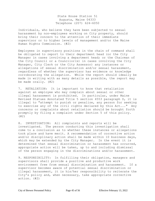State House Station 51 Augusta, Maine 04333 Telephone (207) 624-6050

Individuals, who believe they have been subjected to sexual harassment by non-employees working on City property, should bring their concern to the attention of their immediate supervisor or to higher levels of management and/or the Maine Human Rights Commission. (#2)

Employees in supervisory positions in the chain of command shall be obligated to report to their department head (or the City Manager in cases involving a department head; or the Chairman of the City Council or a Councilor(s) in cases involving the City Manager, City Clerk or the City Assessor) any instances or allegations of sexual discrimination and/or sexual harassment, regardless of whether the supervisor has evidence or knowledge corroborating the allegation. While the report should ideally be made in writing with as many details as possible, the report may be made orally. (#2)

7. RETALIATION: It is important to know that retaliation against an employee who may complain about sexual or other illegal harassment is prohibited. In particular, under Maine Revised Statues Annotated Title 5 section 4553 paragraph D, it is illegal to "attempt to punish or penalize, any person for seeking to exercise any of the civil rights declared by this Act..." Any concerns or complaints about retaliation should be brought forth promptly by filing a complaint under Section 5 of this policy. (#2)

8. INVESTIGATION: All complaints and reports will be investigated. The person conducting this investigation shall come to a conclusion as to whether these instances or allegations took place and have merit. A recommendation of corrective action and/or disciplinary action shall be made within 10 business days, which may be extended by the City Manager. In the event it is determined that sexual discrimination or harassment has occurred, appropriate action will be taken, up to and including dismissal of the person engaging in the discriminations and/or harassment.

9. RESPONSIBILITY: In fulfilling their obligation, managers and supervisors shall provide a positive and productive work environment free from sexual discrimination and harassment. If a supervisor becomes aware of potential sexual discrimination or illegal harassment, it is his/her responsibility to reiterate the City's policy and, when necessary, take appropriate corrective action. (#2)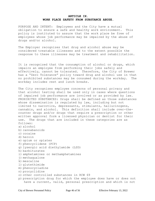## **ARTICLE IX. WORK PLACE SAFETY FROM SUBSTANCE ABUSE.**

PURPOSE AND INTENT: Employees and the City have a mutual obligation to ensure a safe and healthy work environment. This policy is instituted to assure that the work place be free of employees whose job performance may be impaired by the abuse of drugs and/or alcohol.

The Employer recognizes that drug and alcohol abuse may be considered treatable illnesses and to the extent possible the response to these illnesses may be treatment and rehabilitation.

It is recognized that the consumption of alcohol or drugs, which impairs an employee from performing their jobs safely and effectively, cannot be tolerated. Therefore, the City of Brewer has a "Zero Tolerance" policy toward drug and alcohol use in that no prohibited substances may be consumed during the workday. The workday includes rest and lunch breaks.

The City recognizes employee concerns of personal privacy and that alcohol testing shall be used only in cases where questions of impaired job performance are involved or as provided by law. PROHIBITED SUBSTANCES: Drugs shall be defined as those substances whose dissemination is regulated by law, including but not limited to narcotics, depressants, stimulants, hallucinogens, cannabis, and alcohol. This definition shall include over-thecounter drugs and/or drugs that require a prescription or other written approval form a licensed physician or dentist for their use. The drugs that are included in these categories are as follows:

- a) alcohol
- b) cannabanoids
- c) cocaine
- d) heroin
- e) opium or opiates
- f) phencyclidene (PCP)
- g) lysergic acid diethylamide (LSD)
- h) barbiturates
- i) amphetamines or methamphetamines
- j) methaqualone
- k) mescaline
- l) glutethimide
- m) phenocycladine
- n) procyclidine
- o) other controlled substances in RCW 69
- p) prescription drug for which the employee does have or does not have a current, valid, personal prescription and which is not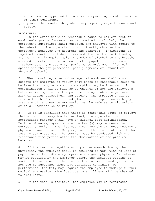authorized or approved for use while operating a motor vehicle or other equipment.

q) any over-the-counter drug which may impair job performance and safety.

#### PROCEDURE:

1. In the event there is reasonable cause to believe that an employee's job performance may be impaired by alcohol, the employee's supervisor shall question the employee with regard to the behavior. The supervisor shall directly observe the employee's behavior and document the behavior. Indications of impaired behavior include but are not limited to the following: staggering or irregular gait, the odor of alcohol on the breath, slurred speech, dilated or constricted pupils, inattentiveness, listlessness, hyperactivity, performance problems, illogical speech and thought processes, poor judgment, or unusual or abnormal behavior.

2. When possible, a second managerial employee shall also observe the employee to verify that there is reasonable cause to believe that drug or alcohol consumption may be involved. A determination shall be made as to whether or not the employee's behavior is impaired to the point of being unable to perform his/her duties effectively and safely. The employee shall be relieved of his/her duties and placed on a suspension with pay status until a clear determination can be made as to violations of this Substance Abuse Policy.

3. If it is concluded that there is reasonable cause to believe that alcohol consumption is involved, the supervisor or appropriate manager shall have an alcohol test administered. Failure of an employee to take the test(s) may be cause for corrective action. The City may also have the employee undergo a physical examination at City expense at the time that the alcohol test is administered. The test(s) must be conducted within a reasonable time period after the observation of the problem behavior.

4. If the test is negative and upon recommendation by the physician, the employee shall be returned to work with no loss of pay or benefits. Where appropriate a signed physician's release may be required by the Employer before the employee returns to work. If the behavior that led to the initial investigation is not due to substance abuse but continues to hinder job performance, the City may require the employee to undergo further medical evaluation. Time lost due to an illness will be charged to sick leave.

5. If the test is positive, the employee may be terminated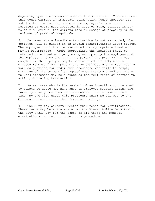depending upon the circumstances of the situation. Circumstances that would warrant an immediate termination would include, but not limited to, incidents where the employee's impairment resulted or could have resulted in loss of life, serious injury to self or others, the serious loss or damage of property or an incident of parallel magnitude.

6. In cases where immediate termination is not warranted, the employee will be placed in an unpaid rehabilitation leave status. The employee shall then be evaluated and appropriate treatment may be recommended. Where appropriate the employee shall be referred to a treatment program agreed upon by the employee and the Employer. Once the inpatient part of the program has been completed; the employee may be re-instated but only with a written release from a physician. An employee who is returned to work as provided for under this procedure who fails to comply with any of the terms of an agreed upon treatment and/or return to work agreement may be subject to the full range of corrective action, including termination.

7. An employee who is the subject of an investigation related to substance abuse may have another employee present during the investigative procedures outlined above. Corrective actions taken by the City under this procedure shall be subject to the Grievance Procedure of this Personnel Policy.

8. The City may perform Breathalyzer tests for verification. These tests may be administered at the Brewer Police Department. The City shall pay for the costs of all tests and medical examinations carried out under this procedure.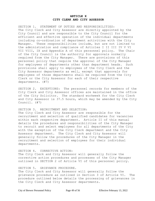## **ARTICLE X CITY CLERK AND CITY ASSESSOR**

SECTION 1. STATEMENT OF DUTIES AND RESPONSIBILITIES: The City Clerk and City Assessor are directly appointed by the City Council and are responsible to the City Council for the efficient and effective operation of the individual departments including co-ordination of department activities with the City Manager. These responsibilities include, but are not limited to the administration and compliance of Articles I II III IV V VI VII VIII, IX and Appendix A of this personnel policy. The Chair of the City Council is the authority for approvals normally required from the City Manager. There are provisions of this personnel policy that require the approval of the City Manager for employees of departments other than department heads. Such provisions shall apply to employees of the City Clerk and the City Assessor departments as well, except that approvals for employees of those departments shall be required from the City Clerk or the City Assessor for each of their respective departments. (#7)

SECTION 2. EXCEPTIONS: The personnel records for members of the City Clerk and City Assessor offices are maintained in the office of the City Solicitor. The standard workweek for the City Clerk and City Assessor is 37.5 hours, which may be amended by the City Council. (#7)

## SECTION 3. RECRUITMENT AND SELECTION:

The City Clerk and City Assessor are responsible for the recruitment and selection of qualified candidates for vacancies within each respective department. Article II of this manual details the procedures and responsibilities of the City Manager to recruit and select employees for all departments of the City with the exception of the City Clerk department and the City Assessor department. The City Clerk and City Assessor will generally follow the procedures of the City Manager in the recruitment and selection of employees for their individual departments.

#### SECTION 4. CORRECTIVE ACTION:

The City Clerk and City Assessor will generally follow the corrective action procedures and processes of the City Manager outlined in SECTION 2 of Article VI of this personnel policy.

## SECTION 5. GRIEVANCE PROCEDURE.

The City Clerk and City Assessor will generally follow the grievance procedure as outlined in Section 3 of Article VI. The procedure outlined below details the processing of grievances in the City Clerk and City Assessor departments.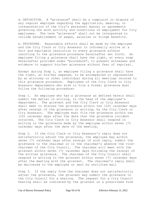d. DEFINITION. A "grievance" shall be a complaint or dispute of any regular employee regarding the application, meaning, or interpretation of the City's personnel manual or agreements governing the work activity and conditions of employment for City employees. The term "grievance" shall not be interpreted to include establishment of wages, salaries or fringe benefits.

e. PROCEDURE. Reasonable efforts shall be made by the employee and the City Clerk or City Assessor to informally arrive at a fair and equitable resolution to every grievance without resorting to the grievance procedure hereinafter set forth. An employee filing a grievance shall have the right, at every step hereinafter provided under "procedure", to present witnesses and evidence to support his/her grievance without fear of reprisal.

Except during Step 1, an employee filing a grievance shall have the right, at his/her expense, to be accompanied or represented by an attorney or other individual during all meetings related to this grievance procedure. Employees of the City Clerk or City Assessor departments who wish to file a formal grievance must follow the following procedure:

Step 1. An employee who has a grievance as defined herein shall submit the matter in writing, to the head of the employee's department. The grievant and the City Clerk or City Assessor shall meet to discuss the grievance within ten (10) calendar days after receipt of the grievance in writing, by the City Clerk or City Assessor. The employee must file the grievance within ten (10) calendar days after the date that the grievable incident occurred. The City Clerk or City Assessor shall respond in writing to the grievance made by the employee within seven (7) calendar days after the date of the meeting.

Step 2. If the City Clerk or City Assessor's reply does not satisfactorily adjust the grievance, the employee may within seven (7) calendar days after receipt of such reply, submit the grievance to the chairman or in the chairman's absence the vicechairman of the City Council. The chairman will meet with the grievant within seven (7) calendar days following the receipt of the written grievance. The chairman of the City Council shall respond in writing to the grievant within seven (7) calendar days after the meeting with the grievant. The chairman's reply shall be delivered to the employee or sent by certified mail

Step 3. If the reply from the chairman does not satisfactorily adjust the grievance, the grievant may submit the grievance to the City Council for a hearing. The request for a City Council hearing shall be indicated by the grievant on a prescribed form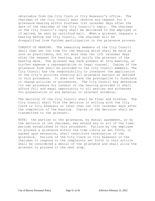obtainable from the City Clerk or City Assessor's office. The chairman of the City Council must receive any request for a grievance hearing within fourteen (14) calendar days after the date of the chairman of the City Council's reply. The chairman of the City Council's reply shall be delivered to the employee or if mailed, be sent by certified mail. When a grievant requests a hearing before the City Council, the chairman will be disqualified from further participation in the grievance process.

CONDUCT OF HEARING. The remaining members of the City Council shall then set the time for the hearing which shall be held as soon as practicable, but not more than ten (10) calendar days after the request for hearing, and notify the grievant of the hearing date. The grievant may have present at this meeting, at his/her expense a representative or legal counsel. Copies of the grievance form shall be provided to the City Council members. The City Council has the responsibility to interpret the application of the City's policies covering all grievable matters as defined in this procedure. It does not have the prerogative to formulate or change policies or procedures. The City Council may determine its own procedure for conduct of the hearing provided it shall afford full and equal opportunity to all parties and witnesses for presentation of any material or relevant evidence.

The decision of the City Council shall be final and binding. The City Council shall file the decision in writing with the City Clerk or City Assessor no later than ten (10) calendar days after the completion of the hearing. Copies of the decision shall be transmitted to the grievant.

NOTE: the parties to the grievance, by mutual agreement, or by the decision of the chairman, may extend any or all of the timeperiods established in this procedure. Failure by the employee to process a grievance within the time limits as set forth, or agreed upon extension, shall constitute termination of the grievance. Failure of the City Clerk or City Assessor or the chairman to respond to the complaints set forth in this article shall be considered a denial of the grievance and shall allow the grievant to proceed to the next step.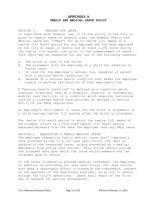# **APPENDIX A FAMILY AND MEDICAL LEAVE POLICY**

SECTION 1. REASONS FOR LEAVE.

In compliance with Federal law, it is the policy of the City to grant an unpaid leave of absence under the Federal Family and Medical Leave Act ("FMLA") for up to twelve (12) weeks in a twelve (12) month period for any employee who has been employed by the City at least 12 months and at least 1,250 hours during the twelve (12) months just prior to the commencement of leave. This leave may be requested for any one of the following reasons:

- a. The birth or care of the child;
- b. The placement with the employee of a child for adoption or foster care;
- c. To care for the employee's spouse, son, daughter or parent with a serious health condition; or
- d. Because of a serious health condition that makes the employee unable to perform the function of that employee's job.

A "serious health condition" is defined as a condition which requires in-patient care at a hospital, hospice, or residential medical care facility, or a condition which requires continuing care by a licensed health care provider as defined in Section 825.11 of the FMLA regulations.

An employee's entitlement to leave for the birth or placement of a child expires twelve (12) months after the birth or placement.

The twelve (12) month period in which the twelve (12) weeks of entitlement occurs is a "rolling" twelve (12) month period measured backward from the date the employee uses any FMLA leave.

SECTION 2. REQUESTING A FAMILY MEDICAL LEAVE. The employee requesting family medical leave shall complete a form provided by the City not less than thirty (30) days in advance of the requested leave, unless prevented by a medical emergency from giving such notice. This notice should include the intended date upon which the leave would commence and the intended date of return.

If the leave is based on planned medical treatment, the employee, in addition to providing not less than thirty (30) days notice, must make a reasonable effort to schedule the treatments, subject to the approval of the healthcare provider, so as not to unduly disrupt the City's operations. Leave shall begin on the first day of absence (or partial attendance).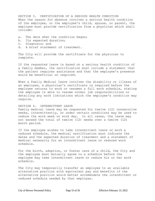SECTION 3. CERTIFICATION OF A SERIOUS HEALTH CONDITION When the reason for absence involves a serious health condition of the employee, or the employee's child, spouse, or parent, the employee must provide certification from a physician which shall include:

- a. The date when the condition began;
- b. Its expected duration;
- c. Diagnosis; and
- d. A brief statement of treatment.

The City will provide the certificate for the physician to complete.

If the requested leave is based on a serious health condition of a family member, the certification must include a statement that the patient requires assistance and that the employee's presence would be beneficial or required.

When a Family Medical Leave involves the disability or illness of an employee, a physician's certificate is required before the employee returns to work or resumes a full work schedule, stating the employee is able to resume normal job responsibilities or detailing any work limitations which the employee's condition may require.

#### SECTION 4. INTERMITTENT LEAVE

Family medical leave may be requested for twelve (12) consecutive weeks, intermittently, or under certain conditions may be used to reduce the work week or work day. In all cases, the leave may not exceed the total of twelve (12) weeks over a twelve (12) month period.

If the employee wishes to take intermittent leave or work a reduced schedule, the medical certification must indicate the dates and the expected duration of treatment and a statement of medical necessity for an intermittent leave or reduced work schedule.

For the birth, adoption, or foster care of a child, the City and the employee must mutually agree to a schedule before the employee may take intermittent leave or reduce his or her work schedule.

The City may temporarily transfer an employee to an available alternative position with equivalent pay and benefits if the alternative position would better accommodate the intermittent or reduced schedule needed by that employee.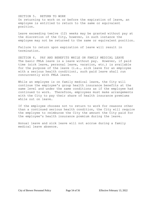## SECTION 5. RETURN TO WORK On returning to work on or before the expiration of leave, an employee is entitled to return to the same or equivalent position.

Leave exceeding twelve (12) weeks may be granted without pay at the discretion of the City, however, in such instance the employee may not be returned to the same or equivalent position.

Failure to return upon expiration of leave will result in termination.

SECTION 6. PAY AND BENEFITS WHILE ON FAMILY MEDICAL LEAVE The basic FMLA leave is a leave without pay. However, if paid time (sick leave, personal leave, vacation, etc.) is available for the purpose of the leave (i.e., sick leave for an employee with a serious health condition), such paid leave shall run concurrently with FMLA leave.

While an employee is on family medical leave, the City will continue the employee's group health insurance benefits at the same level and under the same conditions as if the employee had continued to work. Therefore, employees must make arrangements with the City to pay their share of health insurance premiums while out on leave.

If the employee chooses not to return to work for reasons other than a continued serious health condition, the City will require the employee to reimburse the City the amount the City paid for the employee's health insurance premium during the leave.

Annual leave and sick leave will not accrue during a family medical leave absence.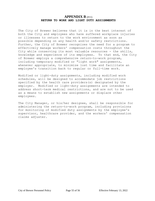# **APPENDIX B** (#11) **RETURN TO WORK AND LIGHT DUTY ASSIGNMENTS**

The City of Brewer believes that it is in the best interest of both the City and employees who have suffered workplace injuries or illnesses to return to the work environment as soon as possible depending on any health and/or safety restrictions. Further, the City of Brewer recognizes the need for a program to effectively manage workers' compensation costs throughout the City while conserving its most valuable resources - the skills, knowledge and experience of its employees. To that end, the City of Brewer employs a comprehensive return-to-work program, including temporary modified or "light work" assignments, whenever appropriate, to minimize lost time and facilitate an employee's transition back to regular or full-time work.

Modified or light-duty assignments, including modified work schedules, will be designed to accommodate job restrictions specified by the health care providers(s) designated by the employer. Modified or light-duty assignments are intended to address short-term medical restrictions, and are not to be used as a means to establish new assignments or displace other employees.

The City Manager, or his/her designee, shall be responsible for administering the return-to-work program, including provisions for monitoring of modified duty assignments by the employee's supervisor, healthcare provider, and the workers' compensation claims adjuster.